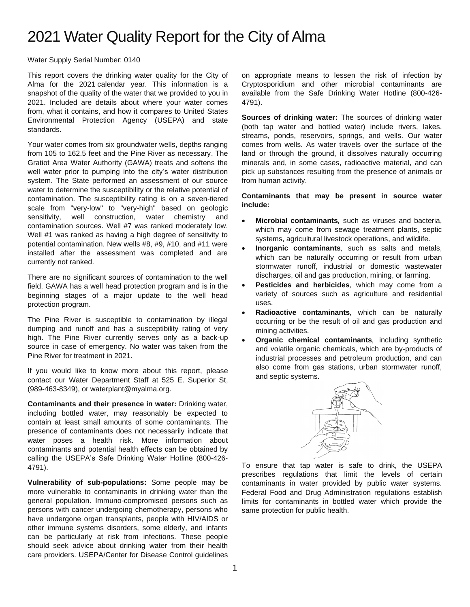## 2021 Water Quality Report for the City of Alma

Water Supply Serial Number: 0140

This report covers the drinking water quality for the City of Alma for the 2021 calendar year. This information is a snapshot of the quality of the water that we provided to you in 2021. Included are details about where your water comes from, what it contains, and how it compares to United States Environmental Protection Agency (USEPA) and state standards.

Your water comes from six groundwater wells, depths ranging from 105 to 162.5 feet and the Pine River as necessary. The Gratiot Area Water Authority (GAWA) treats and softens the well water prior to pumping into the city's water distribution system. The State performed an assessment of our source water to determine the susceptibility or the relative potential of contamination. The susceptibility rating is on a seven-tiered scale from "very-low" to "very-high" based on geologic sensitivity, well construction, water chemistry and contamination sources. Well #7 was ranked moderately low. Well #1 was ranked as having a high degree of sensitivity to potential contamination. New wells #8, #9, #10, and #11 were installed after the assessment was completed and are currently not ranked.

There are no significant sources of contamination to the well field. GAWA has a well head protection program and is in the beginning stages of a major update to the well head protection program.

The Pine River is susceptible to contamination by illegal dumping and runoff and has a susceptibility rating of very high. The Pine River currently serves only as a back-up source in case of emergency. No water was taken from the Pine River for treatment in 2021.

If you would like to know more about this report, please contact our Water Department Staff at 525 E. Superior St, (989-463-8349), or waterplant@myalma.org.

**Contaminants and their presence in water:** Drinking water, including bottled water, may reasonably be expected to contain at least small amounts of some contaminants. The presence of contaminants does not necessarily indicate that water poses a health risk. More information about contaminants and potential health effects can be obtained by calling the USEPA's Safe Drinking Water Hotline (800-426- 4791).

**Vulnerability of sub-populations:** Some people may be more vulnerable to contaminants in drinking water than the general population. Immuno-compromised persons such as persons with cancer undergoing chemotherapy, persons who have undergone organ transplants, people with HIV/AIDS or other immune systems disorders, some elderly, and infants can be particularly at risk from infections. These people should seek advice about drinking water from their health care providers. USEPA/Center for Disease Control guidelines

on appropriate means to lessen the risk of infection by Cryptosporidium and other microbial contaminants are available from the Safe Drinking Water Hotline (800-426- 4791).

**Sources of drinking water:** The sources of drinking water (both tap water and bottled water) include rivers, lakes, streams, ponds, reservoirs, springs, and wells. Our water comes from wells. As water travels over the surface of the land or through the ground, it dissolves naturally occurring minerals and, in some cases, radioactive material, and can pick up substances resulting from the presence of animals or from human activity.

**Contaminants that may be present in source water include:**

- **Microbial contaminants***,* such as viruses and bacteria, which may come from sewage treatment plants, septic systems, agricultural livestock operations, and wildlife.
- **Inorganic contaminants***,* such as salts and metals, which can be naturally occurring or result from urban stormwater runoff, industrial or domestic wastewater discharges, oil and gas production, mining, or farming.
- **Pesticides and herbicides***,* which may come from a variety of sources such as agriculture and residential uses.
- **Radioactive contaminants***,* which can be naturally occurring or be the result of oil and gas production and mining activities.
- **Organic chemical contaminants***,* including synthetic and volatile organic chemicals, which are by-products of industrial processes and petroleum production, and can also come from gas stations, urban stormwater runoff, and septic systems.



To ensure that tap water is safe to drink, the USEPA prescribes regulations that limit the levels of certain contaminants in water provided by public water systems. Federal Food and Drug Administration regulations establish limits for contaminants in bottled water which provide the same protection for public health.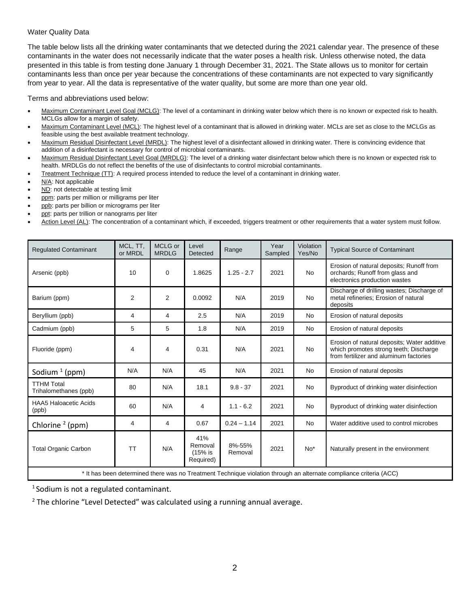## Water Quality Data

The table below lists all the drinking water contaminants that we detected during the 2021 calendar year. The presence of these contaminants in the water does not necessarily indicate that the water poses a health risk. Unless otherwise noted, the data presented in this table is from testing done January 1 through December 31, 2021. The State allows us to monitor for certain contaminants less than once per year because the concentrations of these contaminants are not expected to vary significantly from year to year. All the data is representative of the water quality, but some are more than one year old.

Terms and abbreviations used below:

- Maximum Contaminant Level Goal (MCLG): The level of a contaminant in drinking water below which there is no known or expected risk to health. MCLGs allow for a margin of safety.
- Maximum Contaminant Level (MCL): The highest level of a contaminant that is allowed in drinking water. MCLs are set as close to the MCLGs as feasible using the best available treatment technology.
- Maximum Residual Disinfectant Level (MRDL): The highest level of a disinfectant allowed in drinking water. There is convincing evidence that addition of a disinfectant is necessary for control of microbial contaminants.
- Maximum Residual Disinfectant Level Goal (MRDLG): The level of a drinking water disinfectant below which there is no known or expected risk to health. MRDLGs do not reflect the benefits of the use of disinfectants to control microbial contaminants.
- Treatment Technique (TT): A required process intended to reduce the level of a contaminant in drinking water.
- N/A: Not applicable
- ND: not detectable at testing limit
- ppm: parts per million or milligrams per liter
- ppb: parts per billion or micrograms per liter
- ppt: parts per trillion or nanograms per liter
- Action Level (AL): The concentration of a contaminant which, if exceeded, triggers treatment or other requirements that a water system must follow.

| <b>Requlated Contaminant</b>                                                                                       | MCL, TT,<br>or MRDL | MCLG or<br><b>MRDLG</b> | Level<br>Detected                      | Range             | Year<br>Sampled | Violation<br>Yes/No | <b>Typical Source of Contaminant</b>                                                                                            |  |
|--------------------------------------------------------------------------------------------------------------------|---------------------|-------------------------|----------------------------------------|-------------------|-----------------|---------------------|---------------------------------------------------------------------------------------------------------------------------------|--|
| Arsenic (ppb)                                                                                                      | 10                  | $\mathbf 0$             | 1.8625                                 | $1.25 - 2.7$      | 2021            | <b>No</b>           | Erosion of natural deposits; Runoff from<br>orchards; Runoff from glass and<br>electronics production wastes                    |  |
| Barium (ppm)                                                                                                       | $\overline{2}$      | $\overline{2}$          | 0.0092                                 | N/A               | 2019            | <b>No</b>           | Discharge of drilling wastes; Discharge of<br>metal refineries; Erosion of natural<br>deposits                                  |  |
| Beryllium (ppb)                                                                                                    | 4                   | 4                       | 2.5                                    | N/A               | 2019            | <b>No</b>           | Erosion of natural deposits                                                                                                     |  |
| Cadmium (ppb)                                                                                                      | 5                   | 5                       | 1.8                                    | N/A               | 2019            | <b>No</b>           | Erosion of natural deposits                                                                                                     |  |
| Fluoride (ppm)                                                                                                     | 4                   | 4                       | 0.31                                   | N/A               | 2021            | <b>No</b>           | Erosion of natural deposits; Water additive<br>which promotes strong teeth; Discharge<br>from fertilizer and aluminum factories |  |
| Sodium $1$ (ppm)                                                                                                   | N/A                 | N/A                     | 45                                     | N/A               | 2021            | <b>No</b>           | Erosion of natural deposits                                                                                                     |  |
| <b>TTHM Total</b><br>Trihalomethanes (ppb)                                                                         | 80                  | N/A                     | 18.1                                   | $9.8 - 37$        | 2021            | <b>No</b>           | Byproduct of drinking water disinfection                                                                                        |  |
| <b>HAA5 Haloacetic Acids</b><br>(ppb)                                                                              | 60                  | N/A                     | 4                                      | $1.1 - 6.2$       | 2021            | <b>No</b>           | Byproduct of drinking water disinfection                                                                                        |  |
| Chlorine <sup>2</sup> (ppm)                                                                                        | 4                   | 4                       | 0.67                                   | $0.24 - 1.14$     | 2021            | <b>No</b>           | Water additive used to control microbes                                                                                         |  |
| <b>Total Organic Carbon</b>                                                                                        | <b>TT</b>           | N/A                     | 41%<br>Removal<br>(15% is<br>Required) | 8%-55%<br>Removal | 2021            | $No*$               | Naturally present in the environment                                                                                            |  |
| * It has been determined there was no Treatment Technique violation through an alternate compliance criteria (ACC) |                     |                         |                                        |                   |                 |                     |                                                                                                                                 |  |

It has been determined there was no Treatment Technique violation through an alternate compliance criteria (ACC)

1 Sodium is not a regulated contaminant.

<sup>2</sup> The chlorine "Level Detected" was calculated using a running annual average.